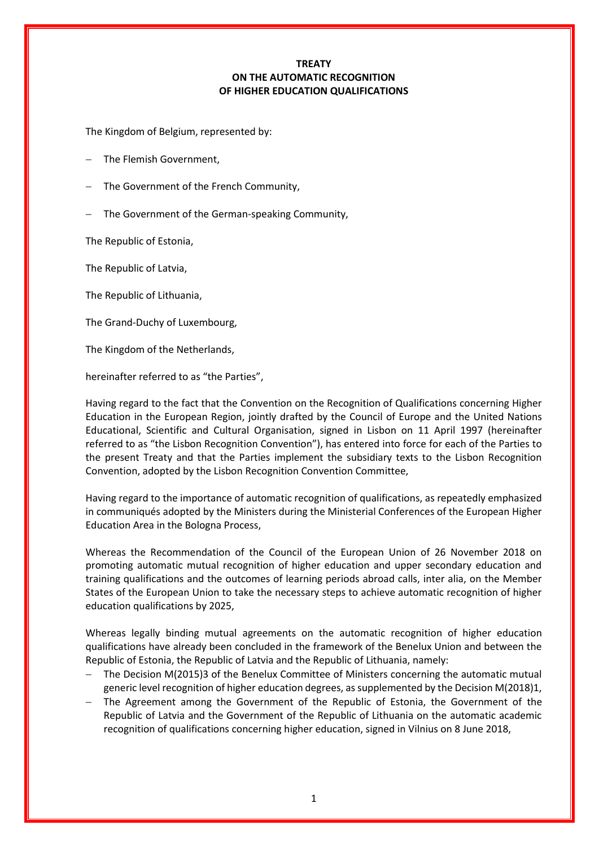# **TREATY ON THE AUTOMATIC RECOGNITION OF HIGHER EDUCATION QUALIFICATIONS**

The Kingdom of Belgium, represented by:

- The Flemish Government,
- − The Government of the French Community,
- The Government of the German-speaking Community,

The Republic of Estonia,

The Republic of Latvia,

The Republic of Lithuania,

The Grand-Duchy of Luxembourg,

The Kingdom of the Netherlands,

hereinafter referred to as "the Parties",

Having regard to the fact that the Convention on the Recognition of Qualifications concerning Higher Education in the European Region, jointly drafted by the Council of Europe and the United Nations Educational, Scientific and Cultural Organisation, signed in Lisbon on 11 April 1997 (hereinafter referred to as "the Lisbon Recognition Convention"), has entered into force for each of the Parties to the present Treaty and that the Parties implement the subsidiary texts to the Lisbon Recognition Convention, adopted by the Lisbon Recognition Convention Committee,

Having regard to the importance of automatic recognition of qualifications, as repeatedly emphasized in communiqués adopted by the Ministers during the Ministerial Conferences of the European Higher Education Area in the Bologna Process,

Whereas the Recommendation of the Council of the European Union of 26 November 2018 on promoting automatic mutual recognition of higher education and upper secondary education and training qualifications and the outcomes of learning periods abroad calls, inter alia, on the Member States of the European Union to take the necessary steps to achieve automatic recognition of higher education qualifications by 2025,

Whereas legally binding mutual agreements on the automatic recognition of higher education qualifications have already been concluded in the framework of the Benelux Union and between the Republic of Estonia, the Republic of Latvia and the Republic of Lithuania, namely:

- − The Decision M(2015)3 of the Benelux Committee of Ministers concerning the automatic mutual generic level recognition of higher education degrees, as supplemented by the Decision M(2018)1,
- The Agreement among the Government of the Republic of Estonia, the Government of the Republic of Latvia and the Government of the Republic of Lithuania on the automatic academic recognition of qualifications concerning higher education, signed in Vilnius on 8 June 2018,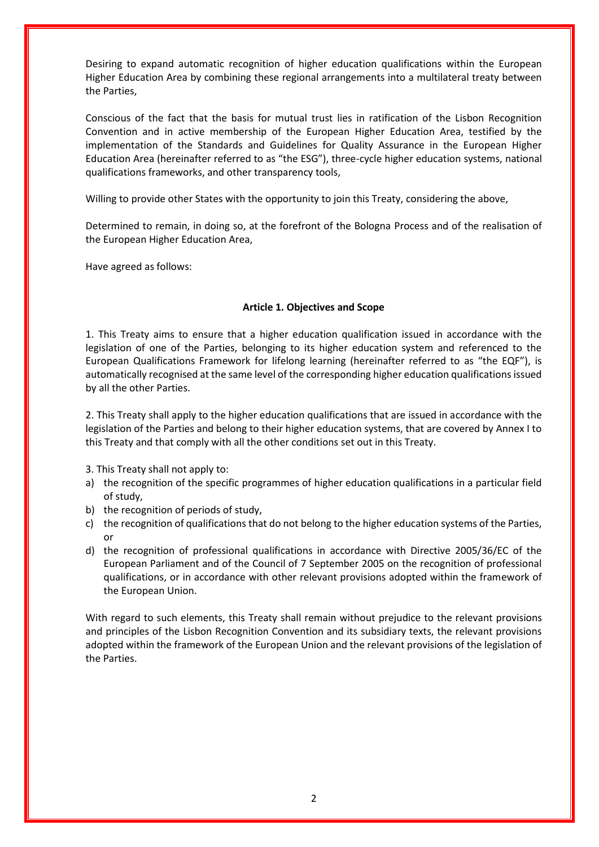Desiring to expand automatic recognition of higher education qualifications within the European Higher Education Area by combining these regional arrangements into a multilateral treaty between the Parties,

Conscious of the fact that the basis for mutual trust lies in ratification of the Lisbon Recognition Convention and in active membership of the European Higher Education Area, testified by the implementation of the Standards and Guidelines for Quality Assurance in the European Higher Education Area (hereinafter referred to as "the ESG"), three-cycle higher education systems, national qualifications frameworks, and other transparency tools,

Willing to provide other States with the opportunity to join this Treaty, considering the above,

Determined to remain, in doing so, at the forefront of the Bologna Process and of the realisation of the European Higher Education Area,

Have agreed as follows:

## **Article 1. Objectives and Scope**

1. This Treaty aims to ensure that a higher education qualification issued in accordance with the legislation of one of the Parties, belonging to its higher education system and referenced to the European Qualifications Framework for lifelong learning (hereinafter referred to as "the EQF"), is automatically recognised at the same level of the corresponding higher education qualifications issued by all the other Parties.

2. This Treaty shall apply to the higher education qualifications that are issued in accordance with the legislation of the Parties and belong to their higher education systems, that are covered by Annex I to this Treaty and that comply with all the other conditions set out in this Treaty.

3. This Treaty shall not apply to:

- a) the recognition of the specific programmes of higher education qualifications in a particular field of study,
- b) the recognition of periods of study,
- c) the recognition of qualifications that do not belong to the higher education systems of the Parties, or
- d) the recognition of professional qualifications in accordance with Directive 2005/36/EC of the European Parliament and of the Council of 7 September 2005 on the recognition of professional qualifications, or in accordance with other relevant provisions adopted within the framework of the European Union.

With regard to such elements, this Treaty shall remain without prejudice to the relevant provisions and principles of the Lisbon Recognition Convention and its subsidiary texts, the relevant provisions adopted within the framework of the European Union and the relevant provisions of the legislation of the Parties.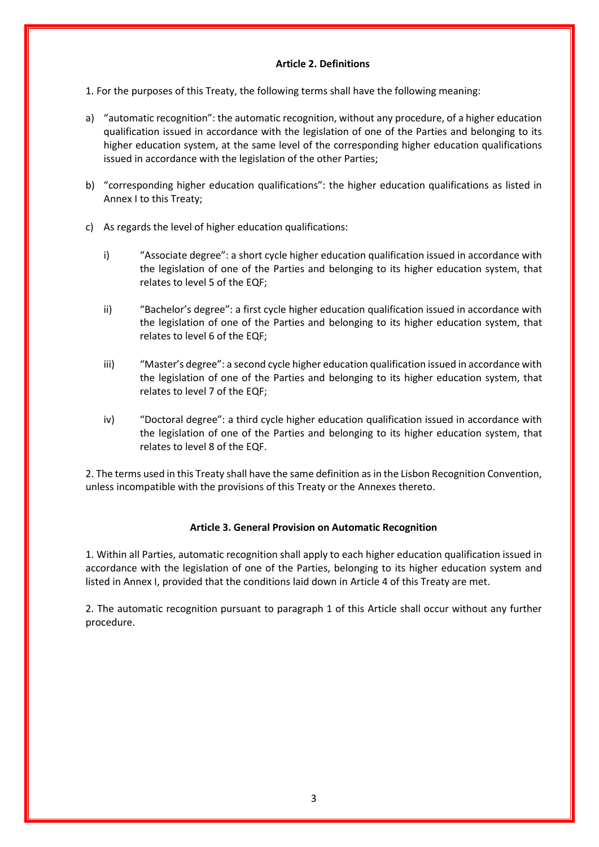## **Article 2. Definitions**

1. For the purposes of this Treaty, the following terms shall have the following meaning:

- a) "automatic recognition": the automatic recognition, without any procedure, of a higher education qualification issued in accordance with the legislation of one of the Parties and belonging to its higher education system, at the same level of the corresponding higher education qualifications issued in accordance with the legislation of the other Parties;
- b) "corresponding higher education qualifications": the higher education qualifications as listed in Annex I to this Treaty;
- c) As regards the level of higher education qualifications:
	- i) "Associate degree": a short cycle higher education qualification issued in accordance with the legislation of one of the Parties and belonging to its higher education system, that relates to level 5 of the EQF;
	- ii) "Bachelor's degree": a first cycle higher education qualification issued in accordance with the legislation of one of the Parties and belonging to its higher education system, that relates to level 6 of the EQF;
	- iii) "Master's degree": a second cycle higher education qualification issued in accordance with the legislation of one of the Parties and belonging to its higher education system, that relates to level 7 of the EQF;
	- iv) "Doctoral degree": a third cycle higher education qualification issued in accordance with the legislation of one of the Parties and belonging to its higher education system, that relates to level 8 of the EQF.

2. The terms used in this Treaty shall have the same definition as in the Lisbon Recognition Convention, unless incompatible with the provisions of this Treaty or the Annexes thereto.

## **Article 3. General Provision on Automatic Recognition**

1. Within all Parties, automatic recognition shall apply to each higher education qualification issued in accordance with the legislation of one of the Parties, belonging to its higher education system and listed in Annex I, provided that the conditions laid down in Article 4 of this Treaty are met.

2. The automatic recognition pursuant to paragraph 1 of this Article shall occur without any further procedure.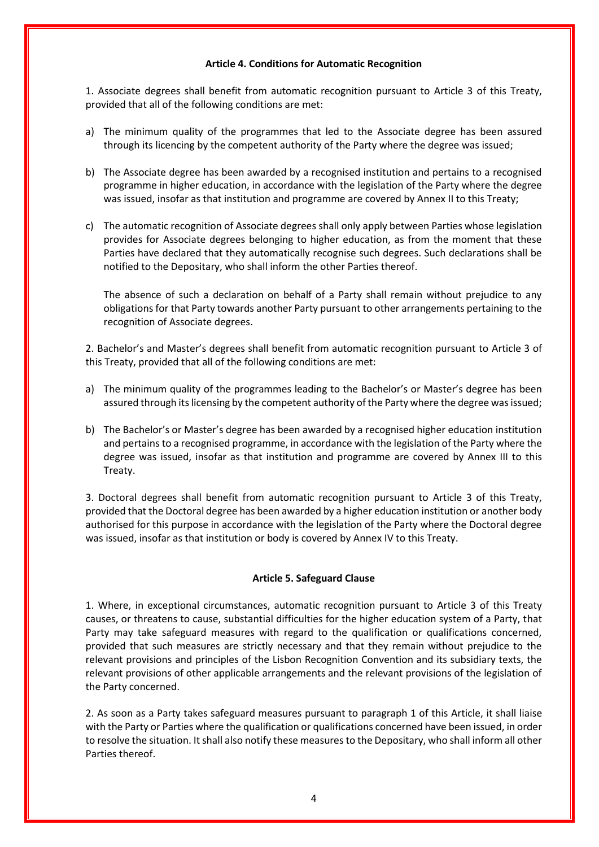#### **Article 4. Conditions for Automatic Recognition**

1. Associate degrees shall benefit from automatic recognition pursuant to Article 3 of this Treaty, provided that all of the following conditions are met:

- a) The minimum quality of the programmes that led to the Associate degree has been assured through its licencing by the competent authority of the Party where the degree was issued;
- b) The Associate degree has been awarded by a recognised institution and pertains to a recognised programme in higher education, in accordance with the legislation of the Party where the degree was issued, insofar as that institution and programme are covered by Annex II to this Treaty;
- c) The automatic recognition of Associate degrees shall only apply between Parties whose legislation provides for Associate degrees belonging to higher education, as from the moment that these Parties have declared that they automatically recognise such degrees. Such declarations shall be notified to the Depositary, who shall inform the other Parties thereof.

The absence of such a declaration on behalf of a Party shall remain without prejudice to any obligations for that Party towards another Party pursuant to other arrangements pertaining to the recognition of Associate degrees.

2. Bachelor's and Master's degrees shall benefit from automatic recognition pursuant to Article 3 of this Treaty, provided that all of the following conditions are met:

- a) The minimum quality of the programmes leading to the Bachelor's or Master's degree has been assured through its licensing by the competent authority of the Party where the degree was issued;
- b) The Bachelor's or Master's degree has been awarded by a recognised higher education institution and pertains to a recognised programme, in accordance with the legislation of the Party where the degree was issued, insofar as that institution and programme are covered by Annex III to this Treaty.

3. Doctoral degrees shall benefit from automatic recognition pursuant to Article 3 of this Treaty, provided that the Doctoral degree has been awarded by a higher education institution or another body authorised for this purpose in accordance with the legislation of the Party where the Doctoral degree was issued, insofar as that institution or body is covered by Annex IV to this Treaty.

## **Article 5. Safeguard Clause**

1. Where, in exceptional circumstances, automatic recognition pursuant to Article 3 of this Treaty causes, or threatens to cause, substantial difficulties for the higher education system of a Party, that Party may take safeguard measures with regard to the qualification or qualifications concerned, provided that such measures are strictly necessary and that they remain without prejudice to the relevant provisions and principles of the Lisbon Recognition Convention and its subsidiary texts, the relevant provisions of other applicable arrangements and the relevant provisions of the legislation of the Party concerned.

2. As soon as a Party takes safeguard measures pursuant to paragraph 1 of this Article, it shall liaise with the Party or Parties where the qualification or qualifications concerned have been issued, in order to resolve the situation. It shall also notify these measures to the Depositary, who shall inform all other Parties thereof.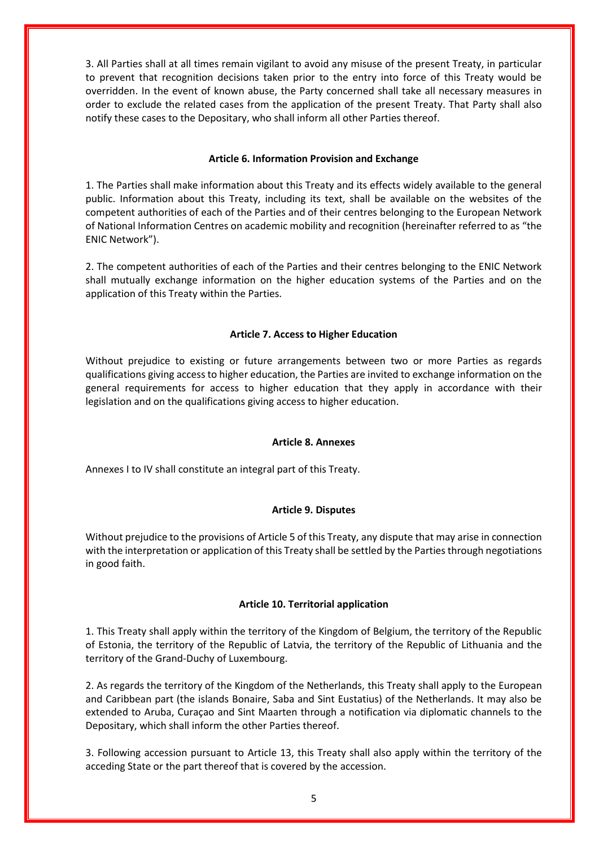3. All Parties shall at all times remain vigilant to avoid any misuse of the present Treaty, in particular to prevent that recognition decisions taken prior to the entry into force of this Treaty would be overridden. In the event of known abuse, the Party concerned shall take all necessary measures in order to exclude the related cases from the application of the present Treaty. That Party shall also notify these cases to the Depositary, who shall inform all other Parties thereof.

#### **Article 6. Information Provision and Exchange**

1. The Parties shall make information about this Treaty and its effects widely available to the general public. Information about this Treaty, including its text, shall be available on the websites of the competent authorities of each of the Parties and of their centres belonging to the European Network of National Information Centres on academic mobility and recognition (hereinafter referred to as "the ENIC Network").

2. The competent authorities of each of the Parties and their centres belonging to the ENIC Network shall mutually exchange information on the higher education systems of the Parties and on the application of this Treaty within the Parties.

## **Article 7. Access to Higher Education**

Without prejudice to existing or future arrangements between two or more Parties as regards qualifications giving access to higher education, the Parties are invited to exchange information on the general requirements for access to higher education that they apply in accordance with their legislation and on the qualifications giving access to higher education.

#### **Article 8. Annexes**

Annexes I to IV shall constitute an integral part of this Treaty.

## **Article 9. Disputes**

Without prejudice to the provisions of Article 5 of this Treaty, any dispute that may arise in connection with the interpretation or application of this Treaty shall be settled by the Parties through negotiations in good faith.

#### **Article 10. Territorial application**

1. This Treaty shall apply within the territory of the Kingdom of Belgium, the territory of the Republic of Estonia, the territory of the Republic of Latvia, the territory of the Republic of Lithuania and the territory of the Grand-Duchy of Luxembourg.

2. As regards the territory of the Kingdom of the Netherlands, this Treaty shall apply to the European and Caribbean part (the islands Bonaire, Saba and Sint Eustatius) of the Netherlands. It may also be extended to Aruba, Curaçao and Sint Maarten through a notification via diplomatic channels to the Depositary, which shall inform the other Parties thereof.

3. Following accession pursuant to Article 13, this Treaty shall also apply within the territory of the acceding State or the part thereof that is covered by the accession.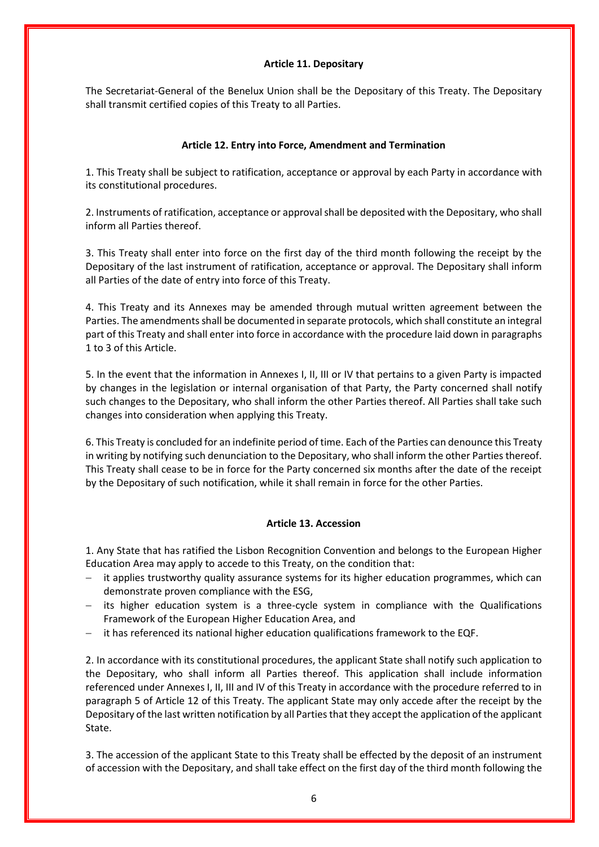#### **Article 11. Depositary**

The Secretariat-General of the Benelux Union shall be the Depositary of this Treaty. The Depositary shall transmit certified copies of this Treaty to all Parties.

## **Article 12. Entry into Force, Amendment and Termination**

1. This Treaty shall be subject to ratification, acceptance or approval by each Party in accordance with its constitutional procedures.

2. Instruments of ratification, acceptance or approval shall be deposited with the Depositary, who shall inform all Parties thereof.

3. This Treaty shall enter into force on the first day of the third month following the receipt by the Depositary of the last instrument of ratification, acceptance or approval. The Depositary shall inform all Parties of the date of entry into force of this Treaty.

4. This Treaty and its Annexes may be amended through mutual written agreement between the Parties. The amendments shall be documented in separate protocols, which shall constitute an integral part of this Treaty and shall enter into force in accordance with the procedure laid down in paragraphs 1 to 3 of this Article.

5. In the event that the information in Annexes I, II, III or IV that pertains to a given Party is impacted by changes in the legislation or internal organisation of that Party, the Party concerned shall notify such changes to the Depositary, who shall inform the other Parties thereof. All Parties shall take such changes into consideration when applying this Treaty.

6. This Treaty is concluded for an indefinite period of time. Each of the Parties can denounce this Treaty in writing by notifying such denunciation to the Depositary, who shall inform the other Parties thereof. This Treaty shall cease to be in force for the Party concerned six months after the date of the receipt by the Depositary of such notification, while it shall remain in force for the other Parties.

## **Article 13. Accession**

1. Any State that has ratified the Lisbon Recognition Convention and belongs to the European Higher Education Area may apply to accede to this Treaty, on the condition that:

- − it applies trustworthy quality assurance systems for its higher education programmes, which can demonstrate proven compliance with the ESG,
- − its higher education system is a three-cycle system in compliance with the Qualifications Framework of the European Higher Education Area, and
- − it has referenced its national higher education qualifications framework to the EQF.

2. In accordance with its constitutional procedures, the applicant State shall notify such application to the Depositary, who shall inform all Parties thereof. This application shall include information referenced under Annexes I, II, III and IV of this Treaty in accordance with the procedure referred to in paragraph 5 of Article 12 of this Treaty. The applicant State may only accede after the receipt by the Depositary of the last written notification by all Parties that they accept the application of the applicant State.

3. The accession of the applicant State to this Treaty shall be effected by the deposit of an instrument of accession with the Depositary, and shall take effect on the first day of the third month following the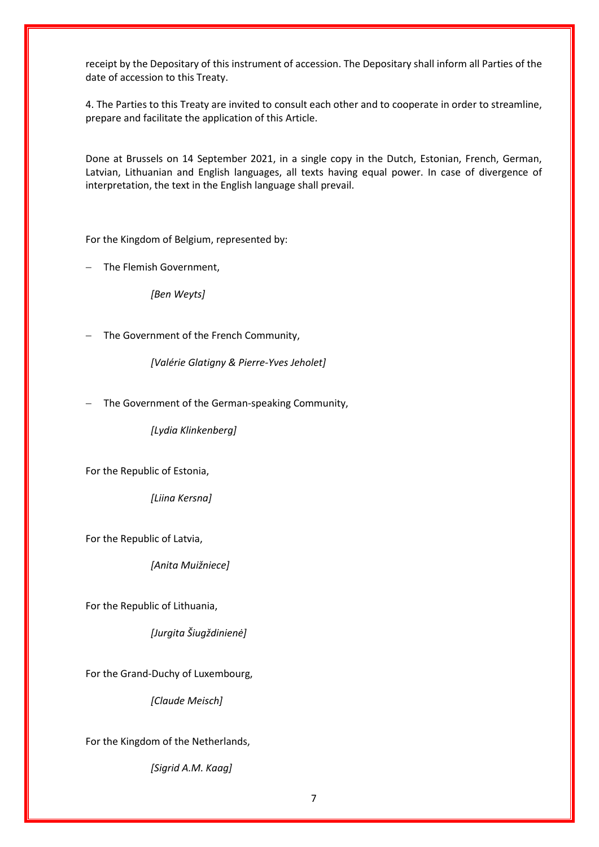receipt by the Depositary of this instrument of accession. The Depositary shall inform all Parties of the date of accession to this Treaty.

4. The Parties to this Treaty are invited to consult each other and to cooperate in order to streamline, prepare and facilitate the application of this Article.

Done at Brussels on 14 September 2021, in a single copy in the Dutch, Estonian, French, German, Latvian, Lithuanian and English languages, all texts having equal power. In case of divergence of interpretation, the text in the English language shall prevail.

For the Kingdom of Belgium, represented by:

The Flemish Government,

*[Ben Weyts]*

The Government of the French Community,

*[Valérie Glatigny & Pierre-Yves Jeholet]*

The Government of the German-speaking Community,

*[Lydia Klinkenberg]*

For the Republic of Estonia,

*[Liina Kersna]*

For the Republic of Latvia,

*[Anita Muižniece]*

For the Republic of Lithuania,

*[Jurgita Šiugždinienė]*

For the Grand-Duchy of Luxembourg,

*[Claude Meisch]*

For the Kingdom of the Netherlands,

*[Sigrid A.M. Kaag]*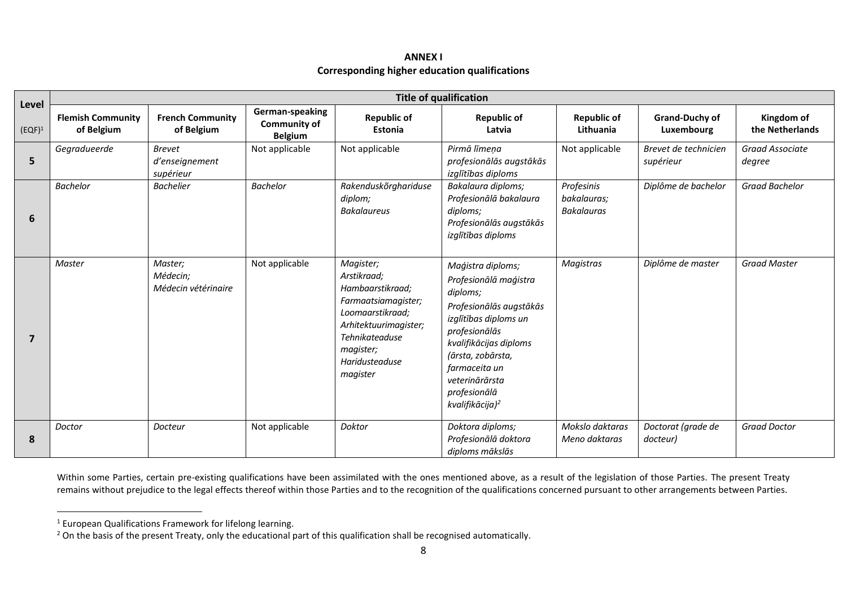## **ANNEX I Corresponding higher education qualifications**

| Level          | <b>Title of qualification</b>          |                                              |                                                          |                                                                                                                                                                               |                                                                                                                                                                                                                                                              |                                                |                                     |                                  |
|----------------|----------------------------------------|----------------------------------------------|----------------------------------------------------------|-------------------------------------------------------------------------------------------------------------------------------------------------------------------------------|--------------------------------------------------------------------------------------------------------------------------------------------------------------------------------------------------------------------------------------------------------------|------------------------------------------------|-------------------------------------|----------------------------------|
| $(EQF)^1$      | <b>Flemish Community</b><br>of Belgium | <b>French Community</b><br>of Belgium        | German-speaking<br><b>Community of</b><br><b>Belgium</b> | <b>Republic of</b><br>Estonia                                                                                                                                                 | <b>Republic of</b><br>Latvia                                                                                                                                                                                                                                 | <b>Republic of</b><br>Lithuania                | <b>Grand-Duchy of</b><br>Luxembourg | Kingdom of<br>the Netherlands    |
| 5              | Gegradueerde                           | <b>Brevet</b><br>d'enseignement<br>supérieur | Not applicable                                           | Not applicable                                                                                                                                                                | Pirmā līmeņa<br>profesionālās augstākās<br>izglītības diploms                                                                                                                                                                                                | Not applicable                                 | Brevet de technicien<br>supérieur   | <b>Graad Associate</b><br>degree |
| 6              | <b>Bachelor</b>                        | <b>Bachelier</b>                             | <b>Bachelor</b>                                          | Rakenduskõrghariduse<br>diplom;<br><b>Bakalaureus</b>                                                                                                                         | Bakalaura diploms;<br>Profesionālā bakalaura<br>diploms;<br>Profesionālās augstākās<br>izglītības diploms                                                                                                                                                    | Profesinis<br>bakalauras;<br><b>Bakalauras</b> | Diplôme de bachelor                 | Graad Bachelor                   |
| $\overline{7}$ | Master                                 | Master;<br>Médecin;<br>Médecin vétéringire   | Not applicable                                           | Magister;<br>Arstikraad;<br>Hambaarstikraad;<br>Farmaatsiamagister;<br>Loomaarstikraad;<br>Arhitektuurimagister;<br>Tehnikateaduse<br>magister;<br>Haridusteaduse<br>magister | Maģistra diploms;<br>Profesionālā maģistra<br>diploms;<br>Profesionālās augstākās<br>izglītības diploms un<br>profesionālās<br>kvalifikācijas diploms<br>(ārsta, zobārsta,<br>farmaceita un<br>veterinārārsta<br>profesionālā<br>kvalifikācija) <sup>2</sup> | <b>Magistras</b>                               | Diplôme de master                   | <b>Graad Master</b>              |
| 8              | Doctor                                 | Docteur                                      | Not applicable                                           | Doktor                                                                                                                                                                        | Doktora diploms;<br>Profesionālā doktora<br>diploms mākslās                                                                                                                                                                                                  | Mokslo daktaras<br>Meno daktaras               | Doctorat (grade de<br>docteur)      | <b>Graad Doctor</b>              |

Within some Parties, certain pre-existing qualifications have been assimilated with the ones mentioned above, as a result of the legislation of those Parties. The present Treaty remains without prejudice to the legal effects thereof within those Parties and to the recognition of the qualifications concerned pursuant to other arrangements between Parties.

 $^1$  European Qualifications Framework for lifelong learning.

<sup>&</sup>lt;sup>2</sup> On the basis of the present Treaty, only the educational part of this qualification shall be recognised automatically.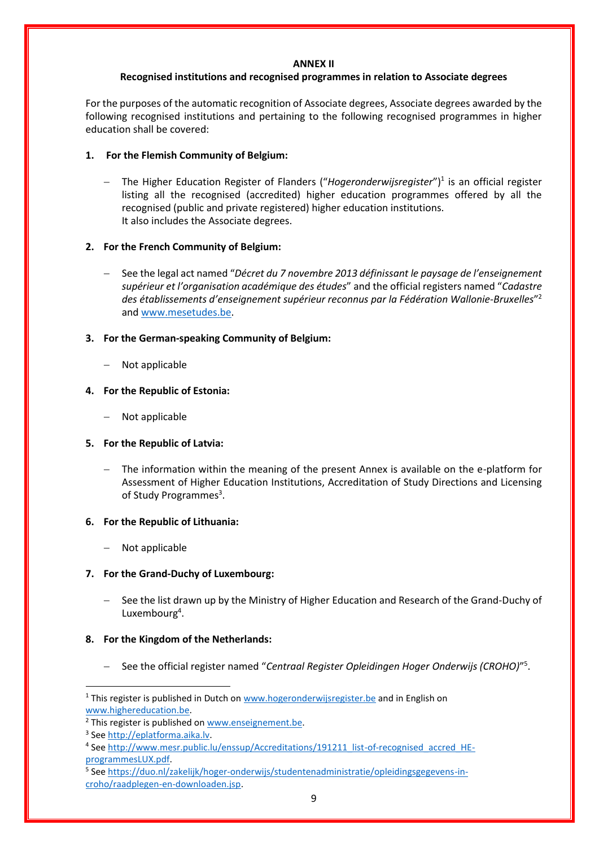#### **ANNEX II**

#### **Recognised institutions and recognised programmes in relation to Associate degrees**

For the purposes of the automatic recognition of Associate degrees, Associate degrees awarded by the following recognised institutions and pertaining to the following recognised programmes in higher education shall be covered:

# **1. For the Flemish Community of Belgium:**

− The Higher Education Register of Flanders ("*Hogeronderwijsregister*")<sup>1</sup> is an official register listing all the recognised (accredited) higher education programmes offered by all the recognised (public and private registered) higher education institutions. It also includes the Associate degrees.

#### **2. For the French Community of Belgium:**

− See the legal act named "*Décret du 7 novembre 2013 définissant le paysage de l'enseignement supérieur et l'organisation académique des études*" and the official registers named "*Cadastre*  des établissements d'enseignement supérieur reconnus par la Fédération Wallonie-Bruxelles<sup>"2</sup> and [www.mesetudes.be.](http://www.mesetudes.be/)

#### **3. For the German-speaking Community of Belgium:**

− Not applicable

#### **4. For the Republic of Estonia:**

− Not applicable

## **5. For the Republic of Latvia:**

− The information within the meaning of the present Annex is available on the e-platform for Assessment of Higher Education Institutions, Accreditation of Study Directions and Licensing of Study Programmes<sup>3</sup>.

## **6. For the Republic of Lithuania:**

− Not applicable

## **7. For the Grand-Duchy of Luxembourg:**

See the list drawn up by the Ministry of Higher Education and Research of the Grand-Duchy of Luxembourg<sup>4</sup>.

## **8. For the Kingdom of the Netherlands:**

− See the official register named "*Centraal Register Opleidingen Hoger Onderwijs (CROHO)*" 5 .

<sup>&</sup>lt;sup>1</sup> This register is published in Dutch on [www.hogeronderwijsregister.be](http://www.hogeronderwijsregister.be/) and in English on [www.highereducation.be.](http://www.highereducation.be/) 

<sup>&</sup>lt;sup>2</sup> This register is published on [www.enseignement.be.](http://www.enseignement.be/)

<sup>&</sup>lt;sup>3</sup> Se[e http://eplatforma.aika.lv.](http://eplatforma.aika.lv/)

<sup>&</sup>lt;sup>4</sup> Se[e http://www.mesr.public.lu/enssup/Accreditations/191211\\_list-of-recognised\\_accred\\_HE](http://www.mesr.public.lu/enssup/Accreditations/191211_list-of-recognised_accred_HE-programmesLUX.pdf)[programmesLUX.pdf.](http://www.mesr.public.lu/enssup/Accreditations/191211_list-of-recognised_accred_HE-programmesLUX.pdf)

<sup>&</sup>lt;sup>5</sup> Se[e https://duo.nl/zakelijk/hoger-onderwijs/studentenadministratie/opleidingsgegevens-in](https://duo.nl/zakelijk/hoger-onderwijs/studentenadministratie/opleidingsgegevens-in-croho/raadplegen-en-downloaden.jsp)[croho/raadplegen-en-downloaden.jsp.](https://duo.nl/zakelijk/hoger-onderwijs/studentenadministratie/opleidingsgegevens-in-croho/raadplegen-en-downloaden.jsp)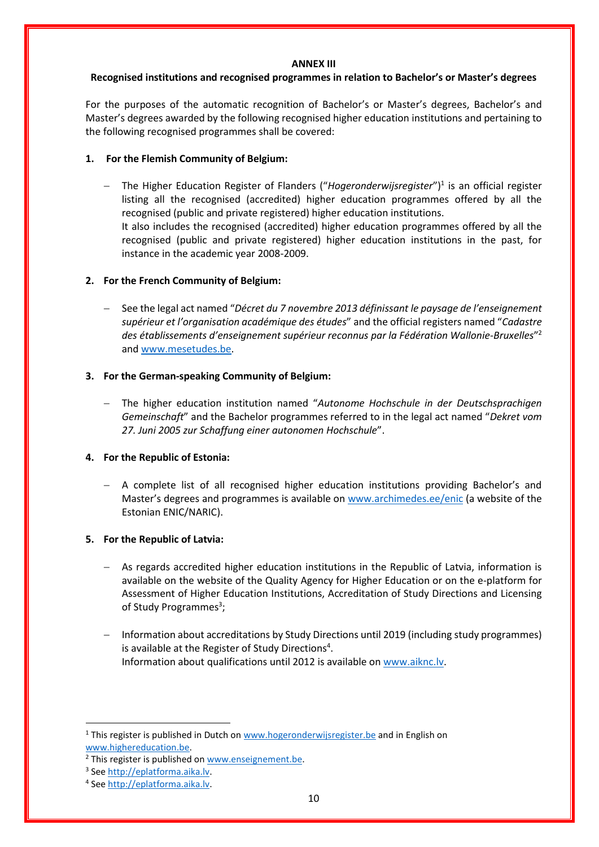#### **ANNEX III**

#### **Recognised institutions and recognised programmes in relation to Bachelor's or Master's degrees**

For the purposes of the automatic recognition of Bachelor's or Master's degrees, Bachelor's and Master's degrees awarded by the following recognised higher education institutions and pertaining to the following recognised programmes shall be covered:

## **1. For the Flemish Community of Belgium:**

− The Higher Education Register of Flanders ("*Hogeronderwijsregister*")<sup>1</sup> is an official register listing all the recognised (accredited) higher education programmes offered by all the recognised (public and private registered) higher education institutions. It also includes the recognised (accredited) higher education programmes offered by all the recognised (public and private registered) higher education institutions in the past, for instance in the academic year 2008-2009.

#### **2. For the French Community of Belgium:**

− See the legal act named "*Décret du 7 novembre 2013 définissant le paysage de l'enseignement supérieur et l'organisation académique des études*" and the official registers named "*Cadastre des établissements d'enseignement supérieur reconnus par la Fédération Wallonie-Bruxelles*" 2 and [www.mesetudes.be.](http://www.mesetudes.be/)

#### **3. For the German-speaking Community of Belgium:**

− The higher education institution named "*Autonome Hochschule in der Deutschsprachigen Gemeinschaft*" and the Bachelor programmes referred to in the legal act named "*Dekret vom 27. Juni 2005 zur Schaffung einer autonomen Hochschule*".

## **4. For the Republic of Estonia:**

− A complete list of all recognised higher education institutions providing Bachelor's and Master's degrees and programmes is available on [www.archimedes.ee/enic](http://www.archimedes.ee/enic) (a website of the Estonian ENIC/NARIC).

## **5. For the Republic of Latvia:**

- − As regards accredited higher education institutions in the Republic of Latvia, information is available on the website of the Quality Agency for Higher Education or on the e-platform for Assessment of Higher Education Institutions, Accreditation of Study Directions and Licensing of Study Programmes<sup>3</sup>;
- − Information about accreditations by Study Directions until 2019 (including study programmes) is available at the Register of Study Directions<sup>4</sup>. Information about qualifications until 2012 is available on [www.aiknc.lv.](http://www.aiknc.lv/)

<sup>&</sup>lt;sup>1</sup> This register is published in Dutch on [www.hogeronderwijsregister.be](http://www.hogeronderwijsregister.be/) and in English on [www.highereducation.be.](http://www.highereducation.be/) 

<sup>&</sup>lt;sup>2</sup> This register is published on [www.enseignement.be.](http://www.enseignement.be/)

<sup>&</sup>lt;sup>3</sup> Se[e http://eplatforma.aika.lv.](http://eplatforma.aika.lv/)

<sup>&</sup>lt;sup>4</sup> Se[e http://eplatforma.aika.lv.](http://eplatforma.aika.lv/)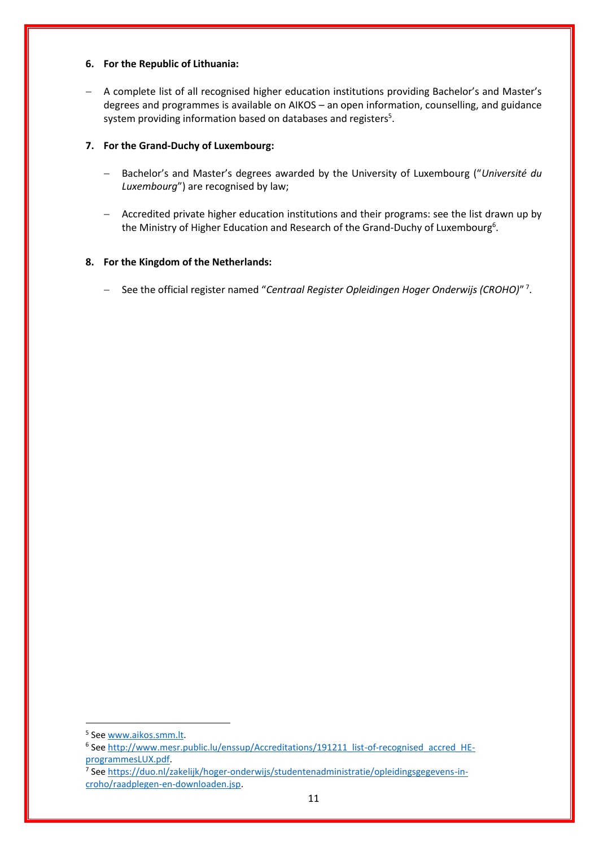## **6. For the Republic of Lithuania:**

− A complete list of all recognised higher education institutions providing Bachelor's and Master's degrees and programmes is available on AIKOS – an open information, counselling, and guidance system providing information based on databases and registers<sup>5</sup>.

# **7. For the Grand-Duchy of Luxembourg:**

- − Bachelor's and Master's degrees awarded by the University of Luxembourg ("*Université du Luxembourg*") are recognised by law;
- − Accredited private higher education institutions and their programs: see the list drawn up by the Ministry of Higher Education and Research of the Grand-Duchy of Luxembourg<sup>6</sup>.

# **8. For the Kingdom of the Netherlands:**

− See the official register named "*Centraal Register Opleidingen Hoger Onderwijs (CROHO)*" 7 .

<sup>&</sup>lt;sup>5</sup> Se[e www.aikos.smm.lt.](http://www.aikos.smm.lt/)

<sup>&</sup>lt;sup>6</sup> Se[e http://www.mesr.public.lu/enssup/Accreditations/191211\\_list-of-recognised\\_accred\\_HE](http://www.mesr.public.lu/enssup/Accreditations/191211_list-of-recognised_accred_HE-programmesLUX.pdf)[programmesLUX.pdf.](http://www.mesr.public.lu/enssup/Accreditations/191211_list-of-recognised_accred_HE-programmesLUX.pdf)

<sup>&</sup>lt;sup>7</sup> Se[e https://duo.nl/zakelijk/hoger-onderwijs/studentenadministratie/opleidingsgegevens-in](https://duo.nl/zakelijk/hoger-onderwijs/studentenadministratie/opleidingsgegevens-in-croho/raadplegen-en-downloaden.jsp)[croho/raadplegen-en-downloaden.jsp.](https://duo.nl/zakelijk/hoger-onderwijs/studentenadministratie/opleidingsgegevens-in-croho/raadplegen-en-downloaden.jsp)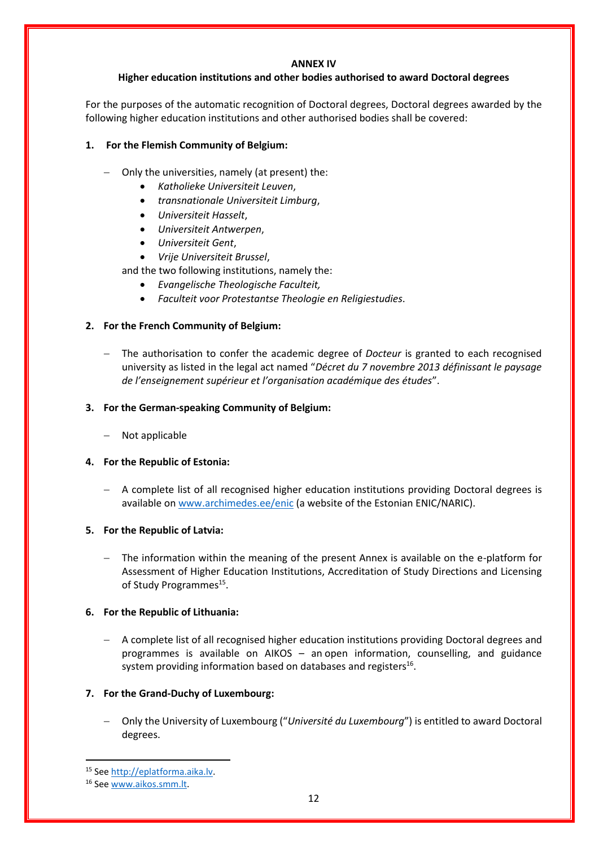#### **ANNEX IV**

# **Higher education institutions and other bodies authorised to award Doctoral degrees**

For the purposes of the automatic recognition of Doctoral degrees, Doctoral degrees awarded by the following higher education institutions and other authorised bodies shall be covered:

# **1. For the Flemish Community of Belgium:**

- − Only the universities, namely (at present) the:
	- *Katholieke Universiteit Leuven*,
	- *transnationale Universiteit Limburg*,
	- *Universiteit Hasselt*,
	- *Universiteit Antwerpen*,
	- *Universiteit Gent*,
	- *Vrije Universiteit Brussel*,
	- and the two following institutions, namely the:
		- *Evangelische Theologische Faculteit,*
		- *Faculteit voor Protestantse Theologie en Religiestudies*.

## **2. For the French Community of Belgium:**

The authorisation to confer the academic degree of *Docteur* is granted to each recognised university as listed in the legal act named "*Décret du 7 novembre 2013 définissant le paysage de l'enseignement supérieur et l'organisation académique des études*".

# **3. For the German-speaking Community of Belgium:**

− Not applicable

## **4. For the Republic of Estonia:**

− A complete list of all recognised higher education institutions providing Doctoral degrees is available on [www.archimedes.ee/enic](http://www.archimedes.ee/enic) (a website of the Estonian ENIC/NARIC).

## **5. For the Republic of Latvia:**

The information within the meaning of the present Annex is available on the e-platform for Assessment of Higher Education Institutions, Accreditation of Study Directions and Licensing of Study Programmes<sup>15</sup>.

## **6. For the Republic of Lithuania:**

− A complete list of all recognised higher education institutions providing Doctoral degrees and programmes is available on AIKOS – an open information, counselling, and guidance system providing information based on databases and registers $^{16}$ .

## **7. For the Grand-Duchy of Luxembourg:**

− Only the University of Luxembourg ("*Université du Luxembourg*") is entitled to award Doctoral degrees.

<sup>15</sup> Se[e http://eplatforma.aika.lv.](http://eplatforma.aika.lv/)

<sup>16</sup> Se[e www.aikos.smm.lt.](http://www.aikos.smm.lt/)